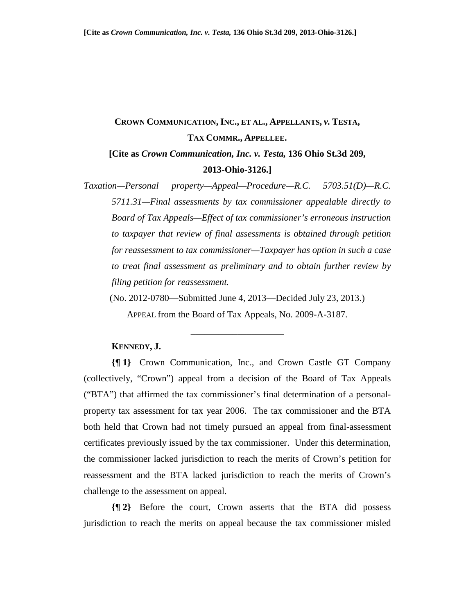# **CROWN COMMUNICATION, INC., ET AL., APPELLANTS,** *v.* **TESTA, TAX COMMR., APPELLEE.**

## **[Cite as** *Crown Communication, Inc. v. Testa,* **136 Ohio St.3d 209, 2013-Ohio-3126.]**

*Taxation—Personal property—Appeal—Procedure—R.C. 5703.51(D)—R.C. 5711.31—Final assessments by tax commissioner appealable directly to Board of Tax Appeals—Effect of tax commissioner's erroneous instruction to taxpayer that review of final assessments is obtained through petition for reassessment to tax commissioner—Taxpayer has option in such a case to treat final assessment as preliminary and to obtain further review by filing petition for reassessment.*

(No. 2012-0780—Submitted June 4, 2013—Decided July 23, 2013.)

APPEAL from the Board of Tax Appeals, No. 2009-A-3187.

\_\_\_\_\_\_\_\_\_\_\_\_\_\_\_\_\_\_\_\_

#### **KENNEDY, J.**

**{¶ 1}** Crown Communication, Inc., and Crown Castle GT Company (collectively, "Crown") appeal from a decision of the Board of Tax Appeals ("BTA") that affirmed the tax commissioner's final determination of a personalproperty tax assessment for tax year 2006. The tax commissioner and the BTA both held that Crown had not timely pursued an appeal from final-assessment certificates previously issued by the tax commissioner. Under this determination, the commissioner lacked jurisdiction to reach the merits of Crown's petition for reassessment and the BTA lacked jurisdiction to reach the merits of Crown's challenge to the assessment on appeal.

**{¶ 2}** Before the court, Crown asserts that the BTA did possess jurisdiction to reach the merits on appeal because the tax commissioner misled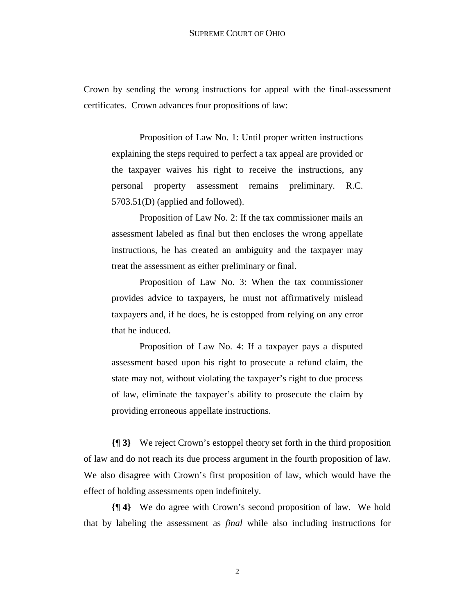Crown by sending the wrong instructions for appeal with the final-assessment certificates. Crown advances four propositions of law:

Proposition of Law No. 1: Until proper written instructions explaining the steps required to perfect a tax appeal are provided or the taxpayer waives his right to receive the instructions, any personal property assessment remains preliminary. R.C. 5703.51(D) (applied and followed).

Proposition of Law No. 2: If the tax commissioner mails an assessment labeled as final but then encloses the wrong appellate instructions, he has created an ambiguity and the taxpayer may treat the assessment as either preliminary or final.

Proposition of Law No. 3: When the tax commissioner provides advice to taxpayers, he must not affirmatively mislead taxpayers and, if he does, he is estopped from relying on any error that he induced.

Proposition of Law No. 4: If a taxpayer pays a disputed assessment based upon his right to prosecute a refund claim, the state may not, without violating the taxpayer's right to due process of law, eliminate the taxpayer's ability to prosecute the claim by providing erroneous appellate instructions.

**{¶ 3}** We reject Crown's estoppel theory set forth in the third proposition of law and do not reach its due process argument in the fourth proposition of law. We also disagree with Crown's first proposition of law, which would have the effect of holding assessments open indefinitely.

**{¶ 4}** We do agree with Crown's second proposition of law. We hold that by labeling the assessment as *final* while also including instructions for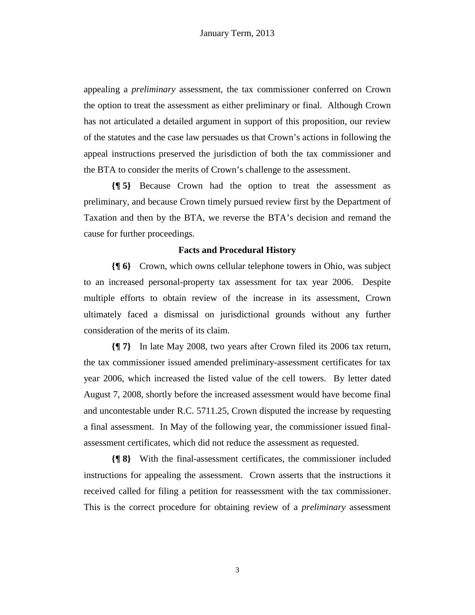appealing a *preliminary* assessment, the tax commissioner conferred on Crown the option to treat the assessment as either preliminary or final. Although Crown has not articulated a detailed argument in support of this proposition, our review of the statutes and the case law persuades us that Crown's actions in following the appeal instructions preserved the jurisdiction of both the tax commissioner and the BTA to consider the merits of Crown's challenge to the assessment.

**{¶ 5}** Because Crown had the option to treat the assessment as preliminary, and because Crown timely pursued review first by the Department of Taxation and then by the BTA, we reverse the BTA's decision and remand the cause for further proceedings.

#### **Facts and Procedural History**

**{¶ 6}** Crown, which owns cellular telephone towers in Ohio, was subject to an increased personal-property tax assessment for tax year 2006. Despite multiple efforts to obtain review of the increase in its assessment, Crown ultimately faced a dismissal on jurisdictional grounds without any further consideration of the merits of its claim.

**{¶ 7}** In late May 2008, two years after Crown filed its 2006 tax return, the tax commissioner issued amended preliminary-assessment certificates for tax year 2006, which increased the listed value of the cell towers. By letter dated August 7, 2008, shortly before the increased assessment would have become final and uncontestable under R.C. 5711.25, Crown disputed the increase by requesting a final assessment. In May of the following year, the commissioner issued finalassessment certificates, which did not reduce the assessment as requested.

**{¶ 8}** With the final-assessment certificates, the commissioner included instructions for appealing the assessment. Crown asserts that the instructions it received called for filing a petition for reassessment with the tax commissioner. This is the correct procedure for obtaining review of a *preliminary* assessment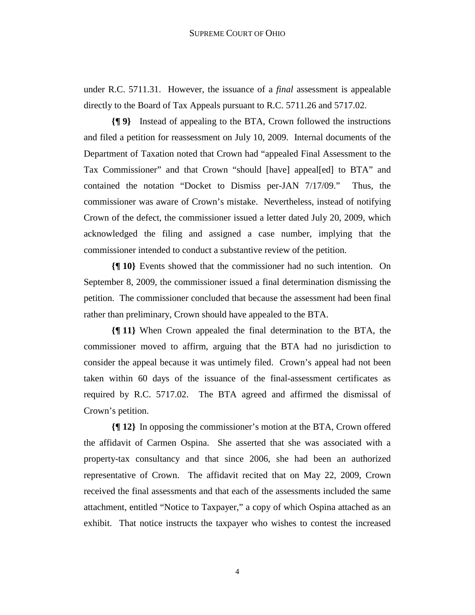under R.C. 5711.31. However, the issuance of a *final* assessment is appealable directly to the Board of Tax Appeals pursuant to R.C. 5711.26 and 5717.02.

**{¶ 9}** Instead of appealing to the BTA, Crown followed the instructions and filed a petition for reassessment on July 10, 2009. Internal documents of the Department of Taxation noted that Crown had "appealed Final Assessment to the Tax Commissioner" and that Crown "should [have] appeal[ed] to BTA" and contained the notation "Docket to Dismiss per-JAN 7/17/09." Thus, the commissioner was aware of Crown's mistake. Nevertheless, instead of notifying Crown of the defect, the commissioner issued a letter dated July 20, 2009, which acknowledged the filing and assigned a case number, implying that the commissioner intended to conduct a substantive review of the petition.

**{¶ 10}** Events showed that the commissioner had no such intention. On September 8, 2009, the commissioner issued a final determination dismissing the petition. The commissioner concluded that because the assessment had been final rather than preliminary, Crown should have appealed to the BTA.

**{¶ 11}** When Crown appealed the final determination to the BTA, the commissioner moved to affirm, arguing that the BTA had no jurisdiction to consider the appeal because it was untimely filed. Crown's appeal had not been taken within 60 days of the issuance of the final-assessment certificates as required by R.C. 5717.02. The BTA agreed and affirmed the dismissal of Crown's petition.

**{¶ 12}** In opposing the commissioner's motion at the BTA, Crown offered the affidavit of Carmen Ospina. She asserted that she was associated with a property-tax consultancy and that since 2006, she had been an authorized representative of Crown. The affidavit recited that on May 22, 2009, Crown received the final assessments and that each of the assessments included the same attachment, entitled "Notice to Taxpayer," a copy of which Ospina attached as an exhibit. That notice instructs the taxpayer who wishes to contest the increased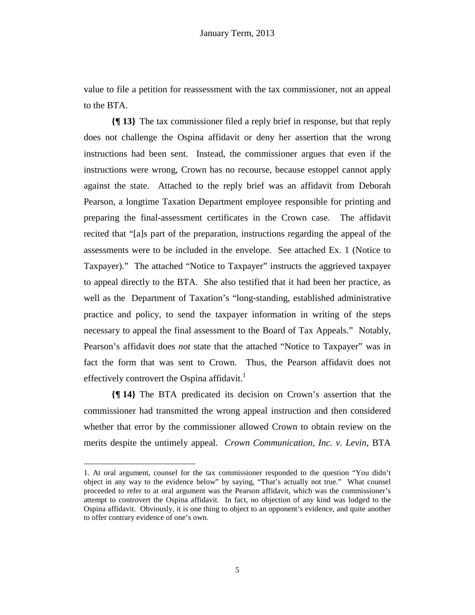value to file a petition for reassessment with the tax commissioner, not an appeal to the BTA.

**{¶ 13}** The tax commissioner filed a reply brief in response, but that reply does not challenge the Ospina affidavit or deny her assertion that the wrong instructions had been sent. Instead, the commissioner argues that even if the instructions were wrong, Crown has no recourse, because estoppel cannot apply against the state. Attached to the reply brief was an affidavit from Deborah Pearson, a longtime Taxation Department employee responsible for printing and preparing the final-assessment certificates in the Crown case. The affidavit recited that "[a]s part of the preparation, instructions regarding the appeal of the assessments were to be included in the envelope. See attached Ex. 1 (Notice to Taxpayer)." The attached "Notice to Taxpayer" instructs the aggrieved taxpayer to appeal directly to the BTA. She also testified that it had been her practice, as well as the Department of Taxation's "long-standing, established administrative practice and policy, to send the taxpayer information in writing of the steps necessary to appeal the final assessment to the Board of Tax Appeals." Notably, Pearson's affidavit does *not* state that the attached "Notice to Taxpayer" was in fact the form that was sent to Crown. Thus, the Pearson affidavit does not effectively controvert the Ospina affidavit.<sup>1</sup>

**{¶ 14}** The BTA predicated its decision on Crown's assertion that the commissioner had transmitted the wrong appeal instruction and then considered whether that error by the commissioner allowed Crown to obtain review on the merits despite the untimely appeal. *Crown Communication, Inc. v. Levin*, BTA

1

<sup>1.</sup> At oral argument, counsel for the tax commissioner responded to the question "You didn't object in any way to the evidence below" by saying, "That's actually not true." What counsel proceeded to refer to at oral argument was the Pearson affidavit, which was the commissioner's attempt to controvert the Ospina affidavit. In fact, no objection of any kind was lodged to the Ospina affidavit. Obviously, it is one thing to object to an opponent's evidence, and quite another to offer contrary evidence of one's own.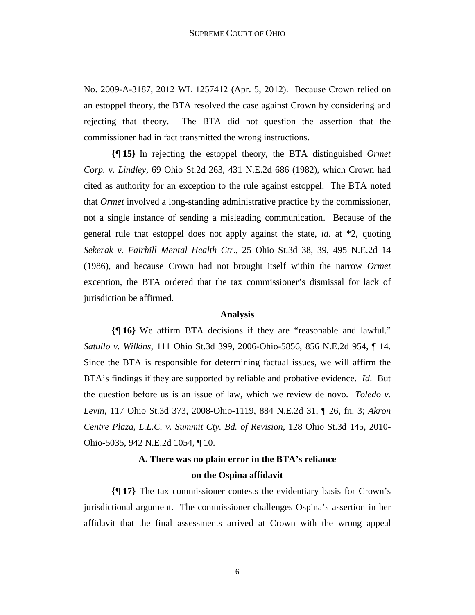No. 2009-A-3187, 2012 WL 1257412 (Apr. 5, 2012). Because Crown relied on an estoppel theory, the BTA resolved the case against Crown by considering and rejecting that theory. The BTA did not question the assertion that the commissioner had in fact transmitted the wrong instructions.

**{¶ 15}** In rejecting the estoppel theory, the BTA distinguished *Ormet Corp. v. Lindley,* 69 Ohio St.2d 263, 431 N.E.2d 686 (1982), which Crown had cited as authority for an exception to the rule against estoppel. The BTA noted that *Ormet* involved a long-standing administrative practice by the commissioner, not a single instance of sending a misleading communication. Because of the general rule that estoppel does not apply against the state, *id*. at \*2, quoting *Sekerak v. Fairhill Mental Health Ctr*., 25 Ohio St.3d 38, 39, 495 N.E.2d 14 (1986), and because Crown had not brought itself within the narrow *Ormet* exception, the BTA ordered that the tax commissioner's dismissal for lack of jurisdiction be affirmed.

#### **Analysis**

**{¶ 16}** We affirm BTA decisions if they are "reasonable and lawful." *Satullo v. Wilkins*, 111 Ohio St.3d 399, 2006-Ohio-5856, 856 N.E.2d 954, ¶ 14. Since the BTA is responsible for determining factual issues, we will affirm the BTA's findings if they are supported by reliable and probative evidence. *Id*. But the question before us is an issue of law, which we review de novo. *Toledo v. Levin*, 117 Ohio St.3d 373, 2008-Ohio-1119, 884 N.E.2d 31, ¶ 26, fn. 3; *Akron Centre Plaza, L.L.C. v. Summit Cty. Bd. of Revision*, 128 Ohio St.3d 145, 2010- Ohio-5035, 942 N.E.2d 1054, ¶ 10.

### **A. There was no plain error in the BTA's reliance on the Ospina affidavit**

**{¶ 17}** The tax commissioner contests the evidentiary basis for Crown's jurisdictional argument. The commissioner challenges Ospina's assertion in her affidavit that the final assessments arrived at Crown with the wrong appeal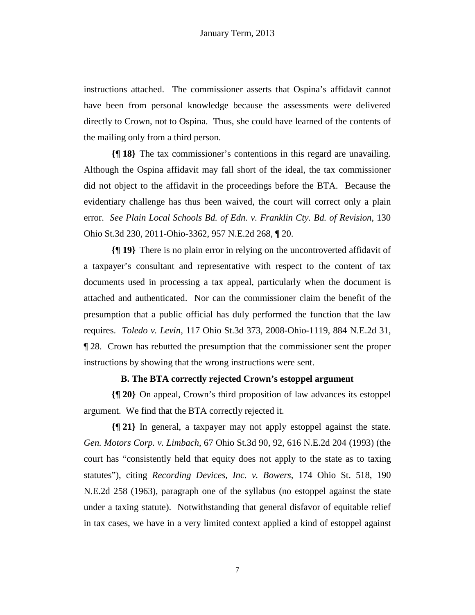instructions attached. The commissioner asserts that Ospina's affidavit cannot have been from personal knowledge because the assessments were delivered directly to Crown, not to Ospina. Thus, she could have learned of the contents of the mailing only from a third person.

**{¶ 18}** The tax commissioner's contentions in this regard are unavailing. Although the Ospina affidavit may fall short of the ideal, the tax commissioner did not object to the affidavit in the proceedings before the BTA. Because the evidentiary challenge has thus been waived, the court will correct only a plain error. *See Plain Local Schools Bd. of Edn. v. Franklin Cty. Bd. of Revision*, 130 Ohio St.3d 230, 2011-Ohio-3362, 957 N.E.2d 268, ¶ 20.

**{¶ 19}** There is no plain error in relying on the uncontroverted affidavit of a taxpayer's consultant and representative with respect to the content of tax documents used in processing a tax appeal, particularly when the document is attached and authenticated. Nor can the commissioner claim the benefit of the presumption that a public official has duly performed the function that the law requires. *Toledo v. Levin*, 117 Ohio St.3d 373, 2008-Ohio-1119, 884 N.E.2d 31, ¶ 28. Crown has rebutted the presumption that the commissioner sent the proper instructions by showing that the wrong instructions were sent.

#### **B. The BTA correctly rejected Crown's estoppel argument**

**{¶ 20}** On appeal, Crown's third proposition of law advances its estoppel argument. We find that the BTA correctly rejected it.

**{¶ 21}** In general, a taxpayer may not apply estoppel against the state. *Gen. Motors Corp. v. Limbach*, 67 Ohio St.3d 90, 92, 616 N.E.2d 204 (1993) (the court has "consistently held that equity does not apply to the state as to taxing statutes"), citing *Recording Devices, Inc. v. Bowers*, 174 Ohio St. 518, 190 N.E.2d 258 (1963), paragraph one of the syllabus (no estoppel against the state under a taxing statute). Notwithstanding that general disfavor of equitable relief in tax cases, we have in a very limited context applied a kind of estoppel against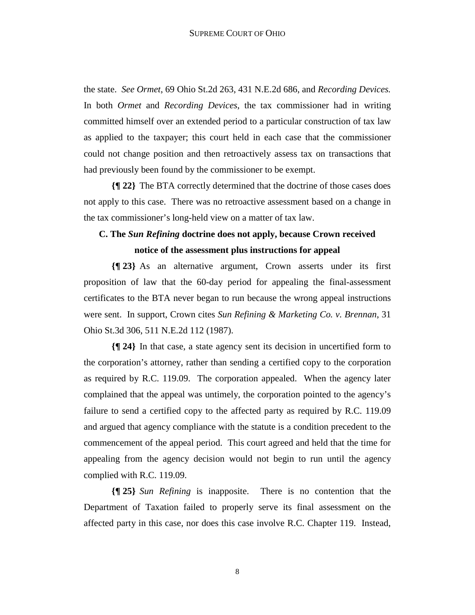the state. *See Ormet*, 69 Ohio St.2d 263, 431 N.E.2d 686, and *Recording Devices.*  In both *Ormet* and *Recording Devices*, the tax commissioner had in writing committed himself over an extended period to a particular construction of tax law as applied to the taxpayer; this court held in each case that the commissioner could not change position and then retroactively assess tax on transactions that had previously been found by the commissioner to be exempt.

**{¶ 22}** The BTA correctly determined that the doctrine of those cases does not apply to this case. There was no retroactive assessment based on a change in the tax commissioner's long-held view on a matter of tax law.

### **C. The** *Sun Refining* **doctrine does not apply, because Crown received notice of the assessment plus instructions for appeal**

**{¶ 23}** As an alternative argument, Crown asserts under its first proposition of law that the 60-day period for appealing the final-assessment certificates to the BTA never began to run because the wrong appeal instructions were sent. In support, Crown cites *Sun Refining & Marketing Co. v. Brennan*, 31 Ohio St.3d 306, 511 N.E.2d 112 (1987).

**{¶ 24}** In that case, a state agency sent its decision in uncertified form to the corporation's attorney, rather than sending a certified copy to the corporation as required by R.C. 119.09. The corporation appealed. When the agency later complained that the appeal was untimely, the corporation pointed to the agency's failure to send a certified copy to the affected party as required by R.C. 119.09 and argued that agency compliance with the statute is a condition precedent to the commencement of the appeal period. This court agreed and held that the time for appealing from the agency decision would not begin to run until the agency complied with R.C. 119.09.

**{¶ 25}** *Sun Refining* is inapposite. There is no contention that the Department of Taxation failed to properly serve its final assessment on the affected party in this case, nor does this case involve R.C. Chapter 119. Instead,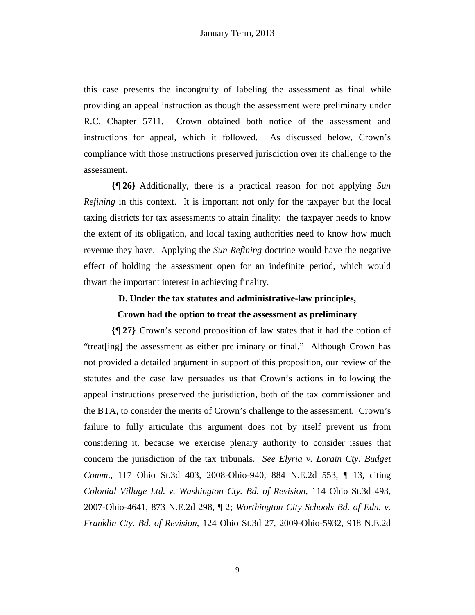this case presents the incongruity of labeling the assessment as final while providing an appeal instruction as though the assessment were preliminary under R.C. Chapter 5711. Crown obtained both notice of the assessment and instructions for appeal, which it followed. As discussed below, Crown's compliance with those instructions preserved jurisdiction over its challenge to the assessment.

**{¶ 26}** Additionally, there is a practical reason for not applying *Sun Refining* in this context. It is important not only for the taxpayer but the local taxing districts for tax assessments to attain finality: the taxpayer needs to know the extent of its obligation, and local taxing authorities need to know how much revenue they have. Applying the *Sun Refining* doctrine would have the negative effect of holding the assessment open for an indefinite period, which would thwart the important interest in achieving finality.

#### **D. Under the tax statutes and administrative-law principles,**

#### **Crown had the option to treat the assessment as preliminary**

**{¶ 27}** Crown's second proposition of law states that it had the option of "treat[ing] the assessment as either preliminary or final." Although Crown has not provided a detailed argument in support of this proposition, our review of the statutes and the case law persuades us that Crown's actions in following the appeal instructions preserved the jurisdiction, both of the tax commissioner and the BTA, to consider the merits of Crown's challenge to the assessment. Crown's failure to fully articulate this argument does not by itself prevent us from considering it, because we exercise plenary authority to consider issues that concern the jurisdiction of the tax tribunals. *See Elyria v. Lorain Cty. Budget Comm*., 117 Ohio St.3d 403, 2008-Ohio-940, 884 N.E.2d 553, ¶ 13, citing *Colonial Village Ltd. v. Washington Cty. Bd. of Revision*, 114 Ohio St.3d 493, 2007-Ohio-4641, 873 N.E.2d 298, ¶ 2; *Worthington City Schools Bd. of Edn. v. Franklin Cty. Bd. of Revision*, 124 Ohio St.3d 27, 2009-Ohio-5932, 918 N.E.2d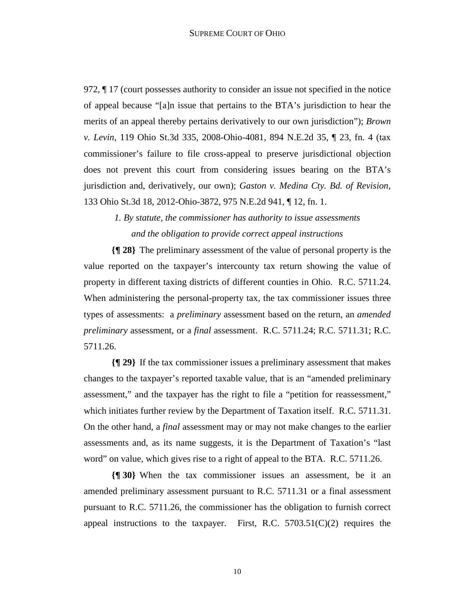972, ¶ 17 (court possesses authority to consider an issue not specified in the notice of appeal because "[a]n issue that pertains to the BTA's jurisdiction to hear the merits of an appeal thereby pertains derivatively to our own jurisdiction"); *Brown v. Levin*, 119 Ohio St.3d 335, 2008-Ohio-4081, 894 N.E.2d 35, ¶ 23, fn. 4 (tax commissioner's failure to file cross-appeal to preserve jurisdictional objection does not prevent this court from considering issues bearing on the BTA's jurisdiction and, derivatively, our own); *Gaston v. Medina Cty. Bd. of Revision*, 133 Ohio St.3d 18, 2012-Ohio-3872, 975 N.E.2d 941, ¶ 12, fn. 1.

> *1. By statute, the commissioner has authority to issue assessments and the obligation to provide correct appeal instructions*

**{¶ 28}** The preliminary assessment of the value of personal property is the value reported on the taxpayer's intercounty tax return showing the value of property in different taxing districts of different counties in Ohio. R.C. 5711.24. When administering the personal-property tax, the tax commissioner issues three types of assessments: a *preliminary* assessment based on the return, an *amended preliminary* assessment, or a *final* assessment. R.C. 5711.24; R.C. 5711.31; R.C. 5711.26.

**{¶ 29}** If the tax commissioner issues a preliminary assessment that makes changes to the taxpayer's reported taxable value, that is an "amended preliminary assessment," and the taxpayer has the right to file a "petition for reassessment," which initiates further review by the Department of Taxation itself. R.C. 5711.31. On the other hand, a *final* assessment may or may not make changes to the earlier assessments and, as its name suggests, it is the Department of Taxation's "last word" on value, which gives rise to a right of appeal to the BTA. R.C. 5711.26.

**{¶ 30}** When the tax commissioner issues an assessment, be it an amended preliminary assessment pursuant to R.C. 5711.31 or a final assessment pursuant to R.C. 5711.26, the commissioner has the obligation to furnish correct appeal instructions to the taxpayer. First, R.C.  $5703.51(C)(2)$  requires the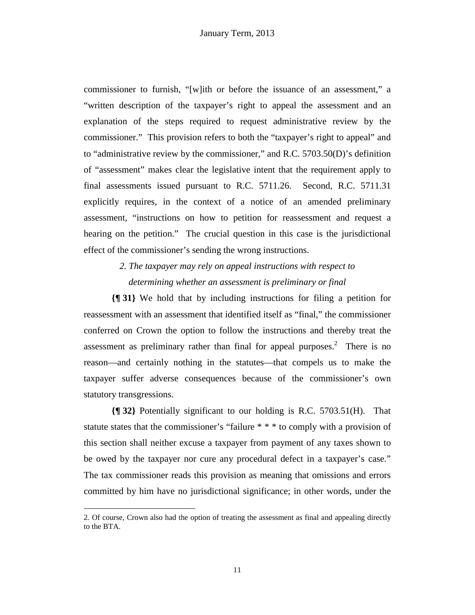commissioner to furnish, "[w]ith or before the issuance of an assessment," a "written description of the taxpayer's right to appeal the assessment and an explanation of the steps required to request administrative review by the commissioner." This provision refers to both the "taxpayer's right to appeal" and to "administrative review by the commissioner," and R.C. 5703.50(D)'s definition of "assessment" makes clear the legislative intent that the requirement apply to final assessments issued pursuant to R.C. 5711.26. Second, R.C. 5711.31 explicitly requires, in the context of a notice of an amended preliminary assessment, "instructions on how to petition for reassessment and request a hearing on the petition." The crucial question in this case is the jurisdictional effect of the commissioner's sending the wrong instructions.

> *2. The taxpayer may rely on appeal instructions with respect to determining whether an assessment is preliminary or final*

**{¶ 31}** We hold that by including instructions for filing a petition for reassessment with an assessment that identified itself as "final," the commissioner conferred on Crown the option to follow the instructions and thereby treat the assessment as preliminary rather than final for appeal purposes. $2$  There is no reason—and certainly nothing in the statutes—that compels us to make the taxpayer suffer adverse consequences because of the commissioner's own statutory transgressions.

**{¶ 32}** Potentially significant to our holding is R.C. 5703.51(H). That statute states that the commissioner's "failure \* \* \* to comply with a provision of this section shall neither excuse a taxpayer from payment of any taxes shown to be owed by the taxpayer nor cure any procedural defect in a taxpayer's case." The tax commissioner reads this provision as meaning that omissions and errors committed by him have no jurisdictional significance; in other words, under the

1

<sup>2.</sup> Of course, Crown also had the option of treating the assessment as final and appealing directly to the BTA.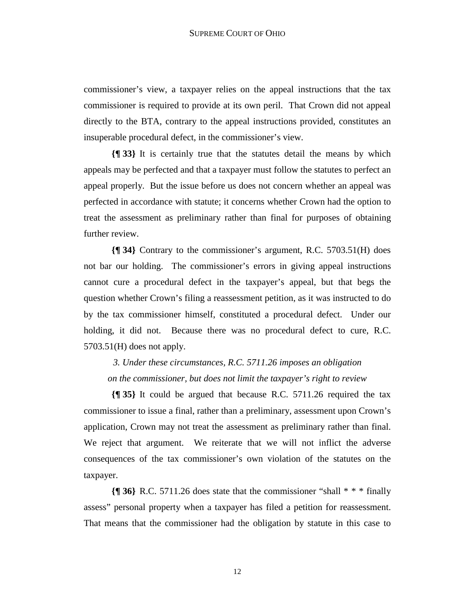commissioner's view, a taxpayer relies on the appeal instructions that the tax commissioner is required to provide at its own peril. That Crown did not appeal directly to the BTA, contrary to the appeal instructions provided, constitutes an insuperable procedural defect, in the commissioner's view.

**{¶ 33}** It is certainly true that the statutes detail the means by which appeals may be perfected and that a taxpayer must follow the statutes to perfect an appeal properly. But the issue before us does not concern whether an appeal was perfected in accordance with statute; it concerns whether Crown had the option to treat the assessment as preliminary rather than final for purposes of obtaining further review.

**{¶ 34}** Contrary to the commissioner's argument, R.C. 5703.51(H) does not bar our holding. The commissioner's errors in giving appeal instructions cannot cure a procedural defect in the taxpayer's appeal, but that begs the question whether Crown's filing a reassessment petition, as it was instructed to do by the tax commissioner himself, constituted a procedural defect. Under our holding, it did not. Because there was no procedural defect to cure, R.C. 5703.51(H) does not apply.

*3. Under these circumstances, R.C. 5711.26 imposes an obligation on the commissioner, but does not limit the taxpayer's right to review* 

**{¶ 35}** It could be argued that because R.C. 5711.26 required the tax commissioner to issue a final, rather than a preliminary, assessment upon Crown's application, Crown may not treat the assessment as preliminary rather than final. We reject that argument. We reiterate that we will not inflict the adverse consequences of the tax commissioner's own violation of the statutes on the taxpayer.

**{¶ 36}** R.C. 5711.26 does state that the commissioner "shall \* \* \* finally assess" personal property when a taxpayer has filed a petition for reassessment. That means that the commissioner had the obligation by statute in this case to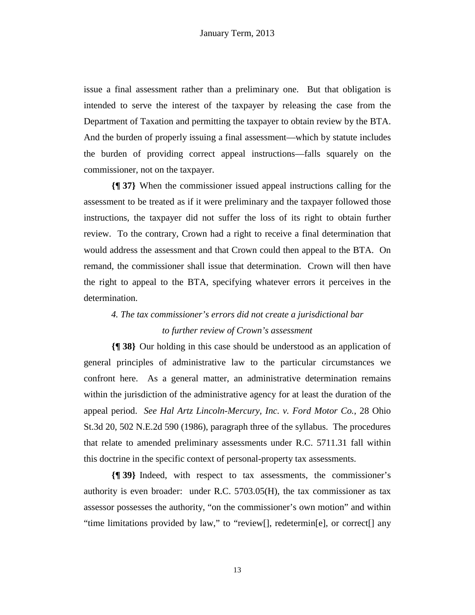issue a final assessment rather than a preliminary one. But that obligation is intended to serve the interest of the taxpayer by releasing the case from the Department of Taxation and permitting the taxpayer to obtain review by the BTA. And the burden of properly issuing a final assessment—which by statute includes the burden of providing correct appeal instructions—falls squarely on the commissioner, not on the taxpayer.

**{¶ 37}** When the commissioner issued appeal instructions calling for the assessment to be treated as if it were preliminary and the taxpayer followed those instructions, the taxpayer did not suffer the loss of its right to obtain further review. To the contrary, Crown had a right to receive a final determination that would address the assessment and that Crown could then appeal to the BTA. On remand, the commissioner shall issue that determination. Crown will then have the right to appeal to the BTA, specifying whatever errors it perceives in the determination.

## *4. The tax commissioner's errors did not create a jurisdictional bar to further review of Crown's assessment*

**{¶ 38}** Our holding in this case should be understood as an application of general principles of administrative law to the particular circumstances we confront here. As a general matter, an administrative determination remains within the jurisdiction of the administrative agency for at least the duration of the appeal period. *See Hal Artz Lincoln-Mercury, Inc. v. Ford Motor Co.*, 28 Ohio St.3d 20, 502 N.E.2d 590 (1986), paragraph three of the syllabus. The procedures that relate to amended preliminary assessments under R.C. 5711.31 fall within this doctrine in the specific context of personal-property tax assessments.

**{¶ 39}** Indeed, with respect to tax assessments, the commissioner's authority is even broader: under R.C. 5703.05(H), the tax commissioner as tax assessor possesses the authority, "on the commissioner's own motion" and within "time limitations provided by law," to "review[], redetermin[e], or correct[] any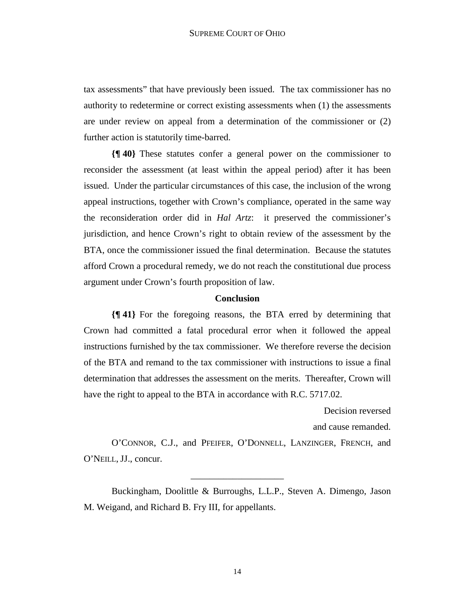tax assessments" that have previously been issued. The tax commissioner has no authority to redetermine or correct existing assessments when (1) the assessments are under review on appeal from a determination of the commissioner or (2) further action is statutorily time-barred.

**{¶ 40}** These statutes confer a general power on the commissioner to reconsider the assessment (at least within the appeal period) after it has been issued. Under the particular circumstances of this case, the inclusion of the wrong appeal instructions, together with Crown's compliance, operated in the same way the reconsideration order did in *Hal Artz*: it preserved the commissioner's jurisdiction, and hence Crown's right to obtain review of the assessment by the BTA, once the commissioner issued the final determination. Because the statutes afford Crown a procedural remedy, we do not reach the constitutional due process argument under Crown's fourth proposition of law.

#### **Conclusion**

**{¶ 41}** For the foregoing reasons, the BTA erred by determining that Crown had committed a fatal procedural error when it followed the appeal instructions furnished by the tax commissioner. We therefore reverse the decision of the BTA and remand to the tax commissioner with instructions to issue a final determination that addresses the assessment on the merits. Thereafter, Crown will have the right to appeal to the BTA in accordance with R.C. 5717.02.

> Decision reversed and cause remanded.

O'CONNOR, C.J., and PFEIFER, O'DONNELL, LANZINGER, FRENCH, and O'NEILL, JJ., concur.

\_\_\_\_\_\_\_\_\_\_\_\_\_\_\_\_\_\_\_\_

 Buckingham, Doolittle & Burroughs, L.L.P., Steven A. Dimengo, Jason M. Weigand, and Richard B. Fry III, for appellants.